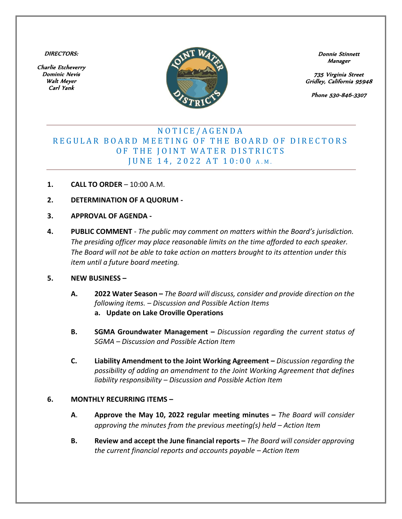DIRECTORS:

Charlie Etcheverry Dominic Nevis Walt Meyer Carl Yank



Donnie Stinnett Manager

735 Virginia Street Gridley, California 95948

Phone 530-846-3307

## N O T I C E / A G E N D A REGULAR BOARD MEETING OF THE BOARD OF DIRECTORS OF THE JOINT WATER DISTRICTS JUNE 14, 2022 AT 10:00 A.M.

- **1. CALL TO ORDER** 10:00 A.M.
- **2. DETERMINATION OF A QUORUM -**
- **3. APPROVAL OF AGENDA -**
- **4. PUBLIC COMMENT** *The public may comment on matters within the Board's jurisdiction. The presiding officer may place reasonable limits on the time afforded to each speaker. The Board will not be able to take action on matters brought to its attention under this item until a future board meeting.*

## **5. NEW BUSINESS –**

- **A. 2022 Water Season –** *The Board will discuss, consider and provide direction on the following items. – Discussion and Possible Action Items* **a. Update on Lake Oroville Operations**
- **B. SGMA Groundwater Management –** *Discussion regarding the current status of SGMA – Discussion and Possible Action Item*
- **C. Liability Amendment to the Joint Working Agreement –** *Discussion regarding the possibility of adding an amendment to the Joint Working Agreement that defines liability responsibility – Discussion and Possible Action Item*

## **6. MONTHLY RECURRING ITEMS –**

- **A**. **Approve the May 10, 2022 regular meeting minutes –** *The Board will consider approving the minutes from the previous meeting(s) held – Action Item*
- **B. Review and accept the June financial reports –** *The Board will consider approving the current financial reports and accounts payable – Action Item*